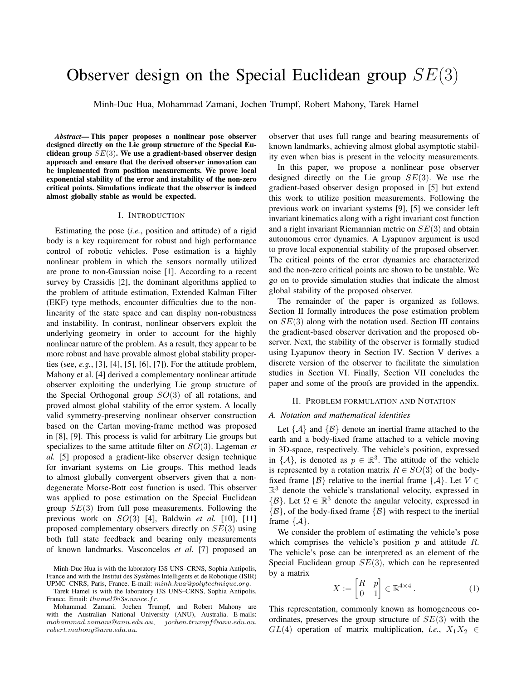# Observer design on the Special Euclidean group  $SE(3)$

Minh-Duc Hua, Mohammad Zamani, Jochen Trumpf, Robert Mahony, Tarek Hamel

*Abstract*— This paper proposes a nonlinear pose observer designed directly on the Lie group structure of the Special Euclidean group  $SE(3)$ . We use a gradient-based observer design approach and ensure that the derived observer innovation can be implemented from position measurements. We prove local exponential stability of the error and instability of the non-zero critical points. Simulations indicate that the observer is indeed almost globally stable as would be expected.

#### I. INTRODUCTION

Estimating the pose (*i.e.*, position and attitude) of a rigid body is a key requirement for robust and high performance control of robotic vehicles. Pose estimation is a highly nonlinear problem in which the sensors normally utilized are prone to non-Gaussian noise [1]. According to a recent survey by Crassidis [2], the dominant algorithms applied to the problem of attitude estimation, Extended Kalman Filter (EKF) type methods, encounter difficulties due to the nonlinearity of the state space and can display non-robustness and instability. In contrast, nonlinear observers exploit the underlying geometry in order to account for the highly nonlinear nature of the problem. As a result, they appear to be more robust and have provable almost global stability properties (see, *e.g.*, [3], [4], [5], [6], [7]). For the attitude problem, Mahony et al. [4] derived a complementary nonlinear attitude observer exploiting the underlying Lie group structure of the Special Orthogonal group  $SO(3)$  of all rotations, and proved almost global stability of the error system. A locally valid symmetry-preserving nonlinear observer construction based on the Cartan moving-frame method was proposed in [8], [9]. This process is valid for arbitrary Lie groups but specializes to the same attitude filter on SO(3). Lageman *et al.* [5] proposed a gradient-like observer design technique for invariant systems on Lie groups. This method leads to almost globally convergent observers given that a nondegenerate Morse-Bott cost function is used. This observer was applied to pose estimation on the Special Euclidean group  $SE(3)$  from full pose measurements. Following the previous work on SO(3) [4], Baldwin *et al.* [10], [11] proposed complementary observers directly on SE(3) using both full state feedback and bearing only measurements of known landmarks. Vasconcelos *et al.* [7] proposed an

observer that uses full range and bearing measurements of known landmarks, achieving almost global asymptotic stability even when bias is present in the velocity measurements.

In this paper, we propose a nonlinear pose observer designed directly on the Lie group  $SE(3)$ . We use the gradient-based observer design proposed in [5] but extend this work to utilize position measurements. Following the previous work on invariant systems [9], [5] we consider left invariant kinematics along with a right invariant cost function and a right invariant Riemannian metric on  $SE(3)$  and obtain autonomous error dynamics. A Lyapunov argument is used to prove local exponential stability of the proposed observer. The critical points of the error dynamics are characterized and the non-zero critical points are shown to be unstable. We go on to provide simulation studies that indicate the almost global stability of the proposed observer.

The remainder of the paper is organized as follows. Section II formally introduces the pose estimation problem on  $SE(3)$  along with the notation used. Section III contains the gradient-based observer derivation and the proposed observer. Next, the stability of the observer is formally studied using Lyapunov theory in Section IV. Section V derives a discrete version of the observer to facilitate the simulation studies in Section VI. Finally, Section VII concludes the paper and some of the proofs are provided in the appendix.

#### II. PROBLEM FORMULATION AND NOTATION

# *A. Notation and mathematical identities*

Let  $\{A\}$  and  $\{B\}$  denote an inertial frame attached to the earth and a body-fixed frame attached to a vehicle moving in 3D-space, respectively. The vehicle's position, expressed in  $\{\mathcal{A}\}\)$ , is denoted as  $p \in \mathbb{R}^3$ . The attitude of the vehicle is represented by a rotation matrix  $R \in SO(3)$  of the bodyfixed frame  $\{\mathcal{B}\}\$  relative to the inertial frame  $\{\mathcal{A}\}\$ . Let  $V \in$  $\mathbb{R}^3$  denote the vehicle's translational velocity, expressed in  $\{\mathcal{B}\}.$  Let  $\Omega \in \mathbb{R}^3$  denote the angular velocity, expressed in  $\{\beta\}$ , of the body-fixed frame  $\{\beta\}$  with respect to the inertial frame  $\{A\}$ .

We consider the problem of estimating the vehicle's pose which comprises the vehicle's position  $p$  and attitude  $R$ . The vehicle's pose can be interpreted as an element of the Special Euclidean group  $SE(3)$ , which can be represented by a matrix

$$
X := \begin{bmatrix} R & p \\ 0 & 1 \end{bmatrix} \in \mathbb{R}^{4 \times 4}.
$$
 (1)

This representation, commonly known as homogeneous coordinates, preserves the group structure of  $SE(3)$  with the  $GL(4)$  operation of matrix multiplication, *i.e.*,  $X_1 X_2 \in$ 

Minh-Duc Hua is with the laboratory I3S UNS–CRNS, Sophia Antipolis, France and with the Institut des Systèmes Intelligents et de Robotique (ISIR) UPMC–CNRS, Paris, France. E-mail: minh.hua@polytechnique.org.

Tarek Hamel is with the laboratory I3S UNS–CRNS, Sophia Antipolis, France. Email: thamel@i3s.unice.fr.

Mohammad Zamani, Jochen Trumpf, and Robert Mahony are with the Australian National University (ANU), Australia. E-mails:  $mohammad.zamani@anu.edu.au, \quad jochen.trumpf@anu.edu.au,$ robert.mahony@anu.edu.au.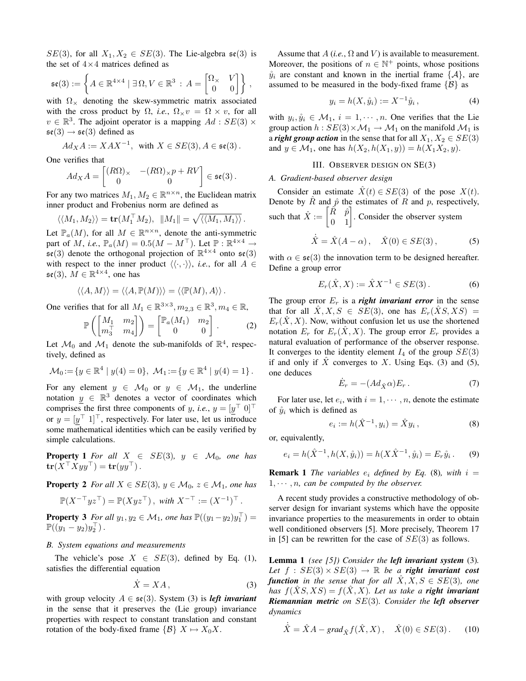$SE(3)$ , for all  $X_1, X_2 \in SE(3)$ . The Lie-algebra  $\mathfrak{se}(3)$  is the set of  $4 \times 4$  matrices defined as

$$
\mathfrak{se}(3) := \left\{ A \in \mathbb{R}^{4 \times 4} \mid \exists \, \Omega, V \in \mathbb{R}^3 \, : \, A = \begin{bmatrix} \Omega_{\times} & V \\ 0 & 0 \end{bmatrix} \right\} \, ,
$$

with  $\Omega_{\times}$  denoting the skew-symmetric matrix associated with the cross product by  $\Omega$ , *i.e.*,  $\Omega_{\times}v = \Omega \times v$ , for all  $v \in \mathbb{R}^3$ . The adjoint operator is a mapping  $Ad : SE(3) \times$  $\mathfrak{se}(3) \rightarrow \mathfrak{se}(3)$  defined as

$$
Ad_X A := XAX^{-1}, \text{ with } X \in SE(3), A \in \mathfrak{se}(3).
$$

One verifies that

$$
Ad_X A = \begin{bmatrix} (R\Omega)_\times & -(R\Omega)_\times p + RV \\ 0 & 0 \end{bmatrix} \in \mathfrak{se}(3).
$$

For any two matrices  $M_1, M_2 \in \mathbb{R}^{n \times n}$ , the Euclidean matrix inner product and Frobenius norm are defined as

$$
\langle \langle M_1, M_2 \rangle \rangle = \mathbf{tr}(M_1^\top M_2), \ \Vert M_1 \Vert = \sqrt{\langle \langle M_1, M_1 \rangle \rangle}.
$$

Let  $\mathbb{P}_{a}(M)$ , for all  $M \in \mathbb{R}^{n \times n}$ , denote the anti-symmetric part of M, *i.e.*,  $\mathbb{P}_a(M) = 0.5(M - M^{\top})$ . Let  $\mathbb{P}: \mathbb{R}^{4 \times 4} \to$  $\mathfrak{se}(3)$  denote the orthogonal projection of  $\mathbb{R}^{4 \times 4}$  onto  $\mathfrak{se}(3)$ with respect to the inner product  $\langle \langle \cdot, \cdot \rangle \rangle$ , *i.e.*, for all  $A \in$  $\mathfrak{se}(3), M \in \mathbb{R}^{4 \times 4}$ , one has

$$
\langle\langle A,M\rangle\rangle=\langle\langle A,\mathbb{P}(M)\rangle\rangle=\langle\langle\mathbb{P}(M),A\rangle\rangle\,.
$$

One verifies that for all  $M_1 \in \mathbb{R}^{3 \times 3}, m_{2,3} \in \mathbb{R}^3, m_4 \in \mathbb{R}$ ,

$$
\mathbb{P}\left(\begin{bmatrix} M_1 & m_2 \\ m_3^T & m_4 \end{bmatrix}\right) = \begin{bmatrix} \mathbb{P}_a(M_1) & m_2 \\ 0 & 0 \end{bmatrix}.
$$
 (2)

Let  $\mathcal{M}_0$  and  $\mathcal{M}_1$  denote the sub-manifolds of  $\mathbb{R}^4$ , respectively, defined as

$$
\mathcal{M}_0 := \{ y \in \mathbb{R}^4 \mid y(4) = 0 \}, \ \mathcal{M}_1 := \{ y \in \mathbb{R}^4 \mid y(4) = 1 \} \, .
$$

For any element  $y \in \mathcal{M}_0$  or  $y \in \mathcal{M}_1$ , the underline notation  $y \in \mathbb{R}^3$  denotes a vector of coordinates which comprises the first three components of y, *i.e.*,  $y = [y^\top 0]^\top$ or  $y = [y^\top 1]^\top$ , respectively. For later use, let us introduce some mathematical identities which can be easily verified by simple calculations.

**Property 1** For all  $X \in SE(3)$ ,  $y \in M_0$ , one has  $tr(X^{\top} X y y^{\top}) = tr(y y^{\top}).$ 

**Property 2** *For all*  $X \in SE(3)$ *,*  $y \in M_0$ *,*  $z \in M_1$ *, one has* 

$$
\mathbb{P}(X^{-\top}yz^{\top})=\mathbb{P}(Xyz^{\top})\,,\,\,\text{with}\,\,X^{-\top}:=(X^{-1})^{\top}\,.
$$

**Property 3** For all  $y_1, y_2 \in \mathcal{M}_1$ , one has  $\mathbb{P}((y_1 - y_2)y_1^{\top}) =$  $\mathbb{P}((y_1-y_2)y_2^{\top})$ .

# *B. System equations and measurements*

The vehicle's pose  $X \in SE(3)$ , defined by Eq. (1), satisfies the differential equation

$$
\dot{X} = XA, \tag{3}
$$

with group velocity  $A \in \mathfrak{se}(3)$ . System (3) is *left invariant* in the sense that it preserves the (Lie group) invariance properties with respect to constant translation and constant rotation of the body-fixed frame  $\{B\}$   $X \mapsto X_0 X$ .

Assume that  $A$  (*i.e.*,  $\Omega$  and  $V$ ) is available to measurement. Moreover, the positions of  $n \in \mathbb{N}^+$  points, whose positions  $\hat{y}_i$  are constant and known in the inertial frame  $\{A\}$ , are assumed to be measured in the body-fixed frame  $\{B\}$  as

$$
y_i = h(X, \mathring{y}_i) := X^{-1} \mathring{y}_i , \tag{4}
$$

with  $y_i, \hat{y}_i \in \mathcal{M}_1$ ,  $i = 1, \dots, n$ . One verifies that the Lie group action  $h : SE(3) \times M_1 \rightarrow M_1$  on the manifold  $M_1$  is a *right group action* in the sense that for all  $X_1, X_2 \in SE(3)$ and  $y \in M_1$ , one has  $h(X_2, h(X_1, y)) = h(X_1X_2, y)$ .

# III. OBSERVER DESIGN ON SE(3)

# *A. Gradient-based observer design*

Consider an estimate  $\hat{X}(t) \in SE(3)$  of the pose  $X(t)$ . Denote by  $\hat{R}$  and  $\hat{p}$  the estimates of R and p, respectively, such that  $\hat{X} := \begin{bmatrix} \hat{R} & \hat{p} \\ 0 & 1 \end{bmatrix}$ . Consider the observer system

$$
\dot{\hat{X}} = \hat{X}(A - \alpha), \quad \hat{X}(0) \in SE(3), \tag{5}
$$

with  $\alpha \in \mathfrak{se}(3)$  the innovation term to be designed hereafter. Define a group error

$$
E_r(\hat{X}, X) := \hat{X} X^{-1} \in SE(3).
$$
 (6)

The group error  $E_r$  is a *right invariant error* in the sense that for all  $\hat{X}, X, S \in SE(3)$ , one has  $E_r(\hat{X}S, XS) =$  $E_r(X, X)$ . Now, without confusion let us use the shortened notation  $E_r$  for  $E_r(X, X)$ . The group error  $E_r$  provides a natural evaluation of performance of the observer response. It converges to the identity element  $I_4$  of the group  $SE(3)$ if and only if X converges to X. Using Eqs. (3) and (5), one deduces

$$
\dot{E}_r = -(Ad_{\hat{X}}\alpha)E_r.
$$
 (7)

For later use, let  $e_i$ , with  $i = 1, \dots, n$ , denote the estimate of  $\hat{y}_i$  which is defined as

$$
e_i := h(\hat{X}^{-1}, y_i) = \hat{X} y_i, \qquad (8)
$$

or, equivalently,

$$
e_i = h(\hat{X}^{-1}, h(X, \mathring{y}_i)) = h(X\hat{X}^{-1}, \mathring{y}_i) = E_r \mathring{y}_i. \tag{9}
$$

**Remark 1** *The variables*  $e_i$  *defined by Eq.* (8)*, with*  $i =$  $1, \dots, n$ , can be computed by the observer.

A recent study provides a constructive methodology of observer design for invariant systems which have the opposite invariance properties to the measurements in order to obtain well conditioned observers [5]. More precisely, Theorem 17 in [5] can be rewritten for the case of  $SE(3)$  as follows.

Lemma 1 *(see [5]) Consider the left invariant system* (3)*. Let*  $f : SE(3) \times SE(3) \rightarrow \mathbb{R}$  *be a right invariant cost function in the sense that for all*  $\hat{X}, X, S \in SE(3)$ *, one has*  $f(\hat{X}S,XS) = f(\hat{X},X)$ *. Let us take a right invariant Riemannian metric on* SE(3)*. Consider the left observer dynamics*

$$
\dot{\hat{X}} = \hat{X}A - grad_{\hat{X}}f(\hat{X}, X), \quad \hat{X}(0) \in SE(3).
$$
 (10)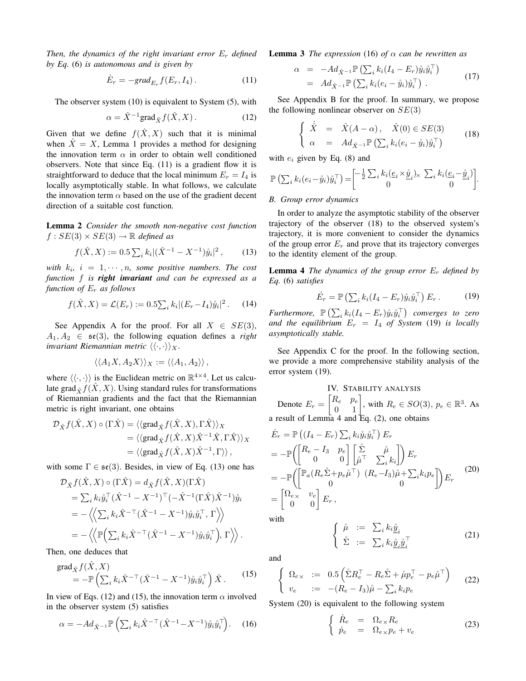*Then, the dynamics of the right invariant error*  $E_r$  *defined by Eq.* (6) *is autonomous and is given by*

$$
\dot{E}_r = -grad_{E_r} f(E_r, I_4). \tag{11}
$$

The observer system (10) is equivalent to System (5), with

$$
\alpha = \hat{X}^{-1} \text{grad}_{\hat{X}} f(\hat{X}, X). \tag{12}
$$

Given that we define  $f(\hat{X}, X)$  such that it is minimal when  $\hat{X} = X$ , Lemma 1 provides a method for designing the innovation term  $\alpha$  in order to obtain well conditioned observers. Note that since Eq. (11) is a gradient flow it is straightforward to deduce that the local minimum  $E_r = I_4$  is locally asymptotically stable. In what follows, we calculate the innovation term  $\alpha$  based on the use of the gradient decent direction of a suitable cost function.

Lemma 2 *Consider the smooth non-negative cost function*  $f: SE(3) \times SE(3) \rightarrow \mathbb{R}$  *defined as* 

$$
f(\hat{X}, X) := 0.5 \sum_{i} k_i |(\hat{X}^{-1} - X^{-1}) \hat{y}_i|^2, \qquad (13)
$$

with  $k_i$ ,  $i = 1, \dots, n$ , some positive numbers. The cost *function* f *is right invariant and can be expressed as a function of* E<sup>r</sup> *as follows*

$$
f(\hat{X}, X) = \mathcal{L}(E_r) := 0.5 \sum_i k_i |(E_r - I_4)\hat{y}_i|^2.
$$
 (14)

See Appendix A for the proof. For all  $X \in SE(3)$ ,  $A_1, A_2 \in \mathfrak{se}(3)$ , the following equation defines a *right invariant Riemannian metric*  $\langle \langle \cdot, \cdot \rangle \rangle_X$ .

$$
\langle \langle A_1 X, A_2 X \rangle \rangle_X := \langle \langle A_1, A_2 \rangle \rangle,
$$

where  $\langle \langle \cdot, \cdot \rangle \rangle$  is the Euclidean metric on  $\mathbb{R}^{4 \times 4}$ . Let us calculate grad  $\hat{\gamma} f(\hat{X}, X)$ . Using standard rules for transformations of Riemannian gradients and the fact that the Riemannian metric is right invariant, one obtains

$$
\mathcal{D}_{\hat{X}}f(\hat{X}, X) \circ (\Gamma \hat{X}) = \langle \langle \text{grad}_{\hat{X}}f(\hat{X}, X), \Gamma \hat{X} \rangle \rangle_{X}
$$
  
=  $\langle \langle \text{grad}_{\hat{X}}f(\hat{X}, X)\hat{X}^{-1}\hat{X}, \Gamma \hat{X} \rangle \rangle_{X}$   
=  $\langle \langle \text{grad}_{\hat{X}}f(\hat{X}, X)\hat{X}^{-1}, \Gamma \rangle \rangle$ ,

with some  $\Gamma \in \mathfrak{se}(3)$ . Besides, in view of Eq. (13) one has

$$
\mathcal{D}_{\hat{X}} f(\hat{X}, X) \circ (\Gamma \hat{X}) = d_{\hat{X}} f(\hat{X}, X) (\Gamma \hat{X})
$$
  
\n
$$
= \sum_{i} k_{i} \mathring{y}_{i}^{\top} (\hat{X}^{-1} - X^{-1})^{\top} (-\hat{X}^{-1} (\Gamma \hat{X}) \hat{X}^{-1}) \mathring{y}_{i}
$$
  
\n
$$
= - \left\langle \left\langle \sum_{i} k_{i} \hat{X}^{-\top} (\hat{X}^{-1} - X^{-1}) \mathring{y}_{i} \mathring{y}_{i}^{\top}, \Gamma \right\rangle \right\rangle
$$
  
\n
$$
= - \left\langle \left\langle \mathbb{P} \left( \sum_{i} k_{i} \hat{X}^{-\top} (\hat{X}^{-1} - X^{-1}) \mathring{y}_{i} \mathring{y}_{i}^{\top}, \Gamma \right\rangle \right\rangle \right\rangle.
$$

Then, one deduces that

$$
\operatorname{grad}_{\hat{X}} f(\hat{X}, X) = -\mathbb{P}\left(\sum_{i} k_i \hat{X}^{-\top} (\hat{X}^{-1} - X^{-1}) \hat{y}_i \hat{y}_i^{\top}\right) \hat{X}.
$$
 (15)

In view of Eqs. (12) and (15), the innovation term  $\alpha$  involved in the observer system (5) satisfies

$$
\alpha = -Ad_{\hat{X}^{-1}} \mathbb{P}\left( \sum_{i} k_{i} \hat{X}^{-\top} (\hat{X}^{-1} - X^{-1}) \hat{y}_{i} \hat{y}_{i}^{\top} \right). \tag{16}
$$

**Lemma 3** *The expression* (16) *of*  $\alpha$  *can be rewritten as* 

$$
\alpha = -Ad_{\hat{X}^{-1}} \mathbb{P} \left( \sum_i k_i (I_4 - E_r) \mathring{y}_i \mathring{y}_i^\top \right) \n= Ad_{\hat{X}^{-1}} \mathbb{P} \left( \sum_i k_i (e_i - \mathring{y}_i) \mathring{y}_i^\top \right).
$$
\n(17)

See Appendix B for the proof. In summary, we propose the following nonlinear observer on  $SE(3)$ 

$$
\begin{cases} \n\dot{\hat{X}} = \hat{X}(A - \alpha), \quad \hat{X}(0) \in SE(3) \\
\alpha = Ad_{\hat{X}^{-1}} \mathbb{P} \left( \sum_{i} k_i (e_i - \mathring{y}_i) \mathring{y}_i^\top \right) \n\end{cases} \tag{18}
$$

with  $e_i$  given by Eq. (8) and

$$
\mathbb{P}\left(\sum_{i}k_i(e_i-\mathring{y}_i)\mathring{y}_i^{\top}\right) = \begin{bmatrix} -\frac{1}{2}\sum_{i}k_i(\underline{e}_i\times\mathring{\underline{y}}_i)\times\sum_{i}k_i(\underline{e}_i-\mathring{\underline{y}}_i) \\ 0 & 0 \end{bmatrix}.
$$

#### *B. Group error dynamics*

In order to analyze the asymptotic stability of the observer trajectory of the observer (18) to the observed system's trajectory, it is more convenient to consider the dynamics of the group error  $E_r$  and prove that its trajectory converges to the identity element of the group.

Lemma 4 *The dynamics of the group error* E<sup>r</sup> *defined by Eq.* (6) *satisfies*

$$
\dot{E}_r = \mathbb{P}\left(\sum_i k_i (I_4 - E_r) \mathring{y}_i \mathring{y}_i^\top\right) E_r \,. \tag{19}
$$

 $\mathit{Furthermore,}\;\; \mathbb{P}\left(\sum_{i}k_{i}(I_{4}-E_{r})\mathring{y}_{i}\mathring{y}_{i}^{\top}\right) \;\; converges\;\; to\;\; zero$ and the equilibrium  $E_r = I_4$  of System (19) is locally *asymptotically stable.*

See Appendix C for the proof. In the following section, we provide a more comprehensive stability analysis of the error system (19).

IV. STABILITY ANALYSIS  
Denote 
$$
E_r = \begin{bmatrix} R_e & p_e \\ 0 & 1 \end{bmatrix}
$$
, with  $R_e \in SO(3)$ ,  $p_e \in \mathbb{R}^3$ . As  
a result of Lemma 4 and Eq. (2), one obtains

$$
\dot{E}_r = \mathbb{P}\left((I_4 - E_r) \sum_i k_i \mathring{y}_i \mathring{y}_i^\top\right) E_r \n= -\mathbb{P}\left(\begin{bmatrix} R_e - I_3 & p_e \\ 0 & 0 \end{bmatrix} \begin{bmatrix} \mathring{\Sigma} & \mathring{\mu} \\ \mathring{\mu}^\top & \sum_i k_i \end{bmatrix}\right) E_r \n= -\mathbb{P}\left(\begin{bmatrix} \mathbb{P}_a (R_e \mathring{\Sigma} + p_e \mathring{\mu}^\top) & (R_e - I_3) \mathring{\mu} + \sum_i k_i p_e \\ 0 & 0 \end{bmatrix} E_r
$$
\n
$$
= \begin{bmatrix} \Omega_{e \times} & v_e \\ 0 & 0 \end{bmatrix} E_r,
$$
\n(20)

with

$$
\begin{cases}\n\ \mathring{\mu} &:= \sum_{i} k_{i} \underline{\mathring{y}}_{i} \\
\mathring{\Sigma} &:= \sum_{i} k_{i} \underline{\mathring{y}}_{i} \underline{\mathring{y}}_{i}^{\top}\n\end{cases} \tag{21}
$$

and

$$
\begin{cases} \Omega_{e \times} := 0.5 \left( \Sigma R_e^{\top} - R_e \Sigma + \mathring{\mu} p_e^{\top} - p_e \mathring{\mu}^{\top} \right) \\ v_e := -(R_e - I_3) \mathring{\mu} - \sum_i k_i p_e \end{cases} (22)
$$

System (20) is equivalent to the following system

$$
\begin{cases}\n\dot{R}_e = \Omega_{e \times} R_e \\
\dot{p}_e = \Omega_{e \times} p_e + v_e\n\end{cases}
$$
\n(23)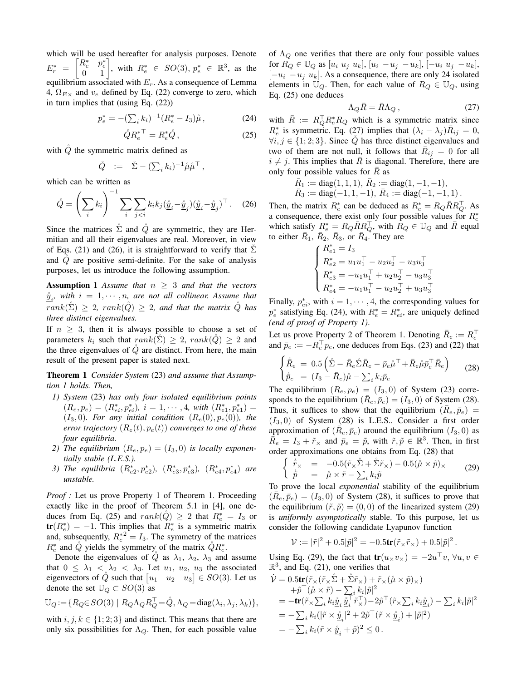which will be used hereafter for analysis purposes. Denote  $E_r^* =$  $\begin{bmatrix} R_e^* & p_e^* \\ 0 & 1 \end{bmatrix}$ , with  $R_e^* \in SO(3), p_e^* \in \mathbb{R}^3$ , as the equilibrium associated with  $E_r$ . As a consequence of Lemma 4,  $\Omega_{E\times}$  and  $v_e$  defined by Eq. (22) converge to zero, which in turn implies that (using Eq. (22))

$$
p_e^* = -(\sum_i k_i)^{-1} (R_e^* - I_3)\hat{\mu}, \qquad (24)
$$

$$
\mathring{Q}R_e^{*\top} = R_e^*\mathring{Q},\qquad(25)
$$

with  $\check{Q}$  the symmetric matrix defined as

$$
\hat{Q} \quad := \quad \hat{\Sigma} - (\sum_i k_i)^{-1} \mathring{\mu} \mathring{\mu}^\top \,,
$$

which can be written as

$$
\mathring{Q} = \left(\sum_i k_i\right)^{-1} \sum_i \sum_{j < i} k_i k_j (\underline{\mathring{y}}_i - \underline{\mathring{y}}_j) (\underline{\mathring{y}}_i - \underline{\mathring{y}}_j)^\top. \tag{26}
$$

Since the matrices  $\Sigma$  and  $\dot{Q}$  are symmetric, they are Hermitian and all their eigenvalues are real. Moreover, in view of Eqs. (21) and (26), it is straightforward to verify that  $\Sigma$ and  $Q$  are positive semi-definite. For the sake of analysis purposes, let us introduce the following assumption.

**Assumption 1** Assume that  $n \geq 3$  and that the vectors  $\underline{\hat{y}}_i$ , with  $i = 1, \cdots, n$ , are not all collinear. Assume that  $rank(\Sigma) \geq 2$ ,  $rank(\check{Q}) \geq 2$ , and that the matrix  $\check{Q}$  has *three distinct eigenvalues.*

If  $n > 3$ , then it is always possible to choose a set of parameters  $k_i$  such that  $rank(\Sigma) \geq 2$ ,  $rank(\tilde{Q}) \geq 2$  and the three eigenvalues of  $\dot{Q}$  are distinct. From here, the main result of the present paper is stated next.

Theorem 1 *Consider System* (23) *and assume that Assumption 1 holds. Then,*

- *1) System* (23) *has only four isolated equilibrium points*  $(R_e, p_e) = (R_{ei}^*, p_{ei}^*), i = 1, \cdots, 4, with (R_{e1}^*, p_{e1}^*) =$  $(I_3, 0)$ *. For any initial condition*  $(R_e(0), p_e(0))$ *, the error trajectory*  $(R_e(t), p_e(t))$  *converges to one of these four equilibria.*
- 2) The equilibrium  $(R_e, p_e) = (I_3, 0)$  is locally exponen*tially stable (L.E.S.).*
- 3) *The equilibria*  $(R_{e2}^*, p_{e2}^*)$ ,  $(R_{e3}^*, p_{e3}^*)$ ,  $(R_{e4}^*, p_{e4}^*)$  *are unstable.*

*Proof :* Let us prove Property 1 of Theorem 1. Proceeding exactly like in the proof of Theorem 5.1 in [4], one deduces from Eq. (25) and  $rank(\hat{Q}) \ge 2$  that  $R_e^* = I_3$  or  $tr(R_e^*) = -1$ . This implies that  $R_e^*$  is a symmetric matrix and, subsequently,  $R_e^{*2} = I_3$ . The symmetry of the matrices  $R_e^*$  and  $\dot{Q}$  yields the symmetry of the matrix  $\dot{Q}R_e^*$ .

Denote the eigenvalues of  $\check{Q}$  as  $\lambda_1$ ,  $\lambda_2$ ,  $\lambda_3$  and assume that  $0 \leq \lambda_1 < \lambda_2 < \lambda_3$ . Let  $u_1, u_2, u_3$  the associated eigenvectors of  $\hat{Q}$  such that  $\begin{bmatrix} u_1 & u_2 & u_3 \end{bmatrix} \in SO(3)$ . Let us denote the set  $\mathbb{U}_Q \subset SO(3)$  as

$$
\mathbb{U}_Q := \{ R_Q \in SO(3) \mid R_Q \Lambda_Q R_Q^{\top} = \mathring{Q}, \Lambda_Q = \text{diag}(\lambda_i, \lambda_j, \lambda_k) \},
$$

with  $i, j, k \in \{1, 2, 3\}$  and distinct. This means that there are only six possibilities for  $\Lambda_Q$ . Then, for each possible value of  $\Lambda_Q$  one verifies that there are only four possible values for  $R_Q \in \mathbb{U}_Q$  as  $[u_i \ u_j \ u_k], [u_i \ -u_j \ -u_k], [-u_i \ u_j \ -u_k],$  $[-u_i - u_j u_k]$ . As a consequence, there are only 24 isolated elements in  $\mathbb{U}_Q$ . Then, for each value of  $R_Q \in \mathbb{U}_Q$ , using Eq. (25) one deduces

$$
\Lambda_Q \bar{R} = \bar{R}\Lambda_Q \,,\tag{27}
$$

with  $\overline{R} := R_Q^{\top} R_e^* R_Q$  which is a symmetric matrix since  $R_e^*$  is symmetric. Eq. (27) implies that  $(\lambda_i - \lambda_j)R_{ij} = 0$ ,  $\forall i, j \in \{1, 2, 3\}$ . Since Q has three distinct eigenvalues and two of them are not null, it follows that  $\overline{R}_{ij} = 0$  for all  $i \neq j$ . This implies that  $\overline{R}$  is diagonal. Therefore, there are only four possible values for  $R$  as

$$
\begin{array}{l} \bar{R}_1 := \mathrm{diag}(1,1,1), \ \bar{R}_2 := \mathrm{diag}(1,-1,-1), \\ \bar{R}_3 := \mathrm{diag}(-1,1,-1), \ \bar{R}_4 := \mathrm{diag}(-1,-1,1) \, . \end{array}
$$

Then, the matrix  $R_e^*$  can be deduced as  $R_e^* = R_Q \overline{R} R_Q^{\top}$ . As a consequence, there exist only four possible values for  $R_e^*$ which satisfy  $R_e^* = R_Q \overline{R} R_Q^{\top}$ , with  $R_Q \in \mathbb{U}_Q$  and  $\overline{R}$  equal to either  $\overline{R}_1$ ,  $\overline{R}_2$ ,  $\overline{R}_3$ , or  $\overline{R}_4$ . They are

$$
\left\{\begin{aligned} R^*_{e1} &= I_3 \\ R^*_{e2} &= u_1u_1^\top - u_2u_2^\top - u_3u_3^\top \\ R^*_{e3} &= -u_1u_1^\top + u_2u_2^\top - u_3u_3^\top \\ R^*_{e4} &= -u_1u_1^\top - u_2u_2^\top + u_3u_3^\top \end{aligned}\right.
$$

Finally,  $p_{ei}^*$ , with  $i = 1, \dots, 4$ , the corresponding values for  $p_e^*$  satisfying Eq. (24), with  $R_e^* = R_{ei}^*$ , are uniquely defined *(end of proof of Property 1)*.

Let us prove Property 2 of Theorem 1. Denoting  $\bar{R}_e := R_e^{\top}$ and  $\bar{p}_e := -R_e^{\top} p_e$ , one deduces from Eqs. (23) and (22) that

$$
\begin{cases}\n\dot{\bar{R}}_e = 0.5 \left( \dot{\Sigma} - \bar{R}_e \dot{\Sigma} \bar{R}_e - \bar{p}_e \dot{\mu}^\top + \bar{R}_e \dot{\mu} \bar{p}_e^\top \bar{R}_e \right) \\
\dot{\bar{p}}_e = (I_3 - \bar{R}_e) \dot{\mu} - \sum_i k_i \bar{p}_e\n\end{cases}
$$
\n(28)

The equilibrium  $(R_e, p_e) = (I_3, 0)$  of System (23) corresponds to the equilibrium  $(\bar{R}_e, \bar{p}_e) = (I_3, 0)$  of System (28). Thus, it suffices to show that the equilibrium  $(\bar{R}_e, \bar{p}_e)$  =  $(I_3, 0)$  of System (28) is L.E.S.. Consider a first order approximation of  $(\overline{R}_e, \overline{p}_e)$  around the equilibrium  $(I_3, 0)$  as  $\overline{\hat{R}_e} = I_3 + \tilde{r}_{\times}$  and  $\overline{p}_e = \tilde{p}$ , with  $\tilde{r}, \tilde{p} \in \mathbb{R}^3$ . Then, in first order approximations one obtains from Eq. (28) that

$$
\begin{cases} \dot{\tilde{r}}_{\times} = -0.5(\tilde{r}_{\times}\tilde{\Sigma} + \tilde{\Sigma}\tilde{r}_{\times}) - 0.5(\mathring{\mu} \times \tilde{p})_{\times} \\ \dot{\tilde{p}} = \mathring{\mu} \times \tilde{r} - \sum_{i} k_{i}\tilde{p} \end{cases}
$$
 (29)

To prove the local *exponential* stability of the equilibrium  $(\overline{R}_e, \overline{p}_e) = (I_3, 0)$  of System (28), it suffices to prove that the equilibrium  $(\tilde{r}, \tilde{p}) = (0, 0)$  of the linearized system (29) is *uniformly asymptotically* stable. To this purpose, let us consider the following candidate Lyapunov function

$$
\mathcal{V} := |\tilde{r}|^2 + 0.5|\tilde{p}|^2 = -0.5\mathbf{tr}(\tilde{r}_{\times}\tilde{r}_{\times}) + 0.5|\tilde{p}|^2.
$$

Using Eq. (29), the fact that  $tr(u_x v_x) = -2u^\top v$ ,  $\forall u, v \in$  $\mathbb{R}^3$ , and Eq. (21), one verifies that

$$
\dot{\mathcal{V}} = 0.5\mathbf{tr}(\tilde{r}_{\times}(\tilde{r}_{\times}\tilde{\Sigma} + \mathring{\Sigma}\tilde{r}_{\times}) + \tilde{r}_{\times}(\mathring{\mu} \times \tilde{p})_{\times}) \n+ \tilde{p}^{\top}(\mathring{\mu} \times \tilde{r}) - \sum_{i} k_{i}|\tilde{p}|^{2} \n= -\mathbf{tr}(\tilde{r}_{\times}\sum_{i} k_{i}\underline{\tilde{y}}_{i}\underline{\tilde{y}}_{i}^{\top}\tilde{r}_{\times}^{\top}) - 2\tilde{p}^{\top}(\tilde{r}_{\times}\sum_{i} k_{i}\underline{\tilde{y}}_{i}) - \sum_{i} k_{i}|\tilde{p}|^{2} \n= - \sum_{i} k_{i}(|\tilde{r} \times \underline{\tilde{y}}_{i}|^{2} + 2\tilde{p}^{\top}(\tilde{r} \times \underline{\tilde{y}}_{i}) + |\tilde{p}|^{2}) \n= - \sum_{i} k_{i}(\tilde{r} \times \underline{\tilde{y}}_{i} + \tilde{p})^{2} \leq 0.
$$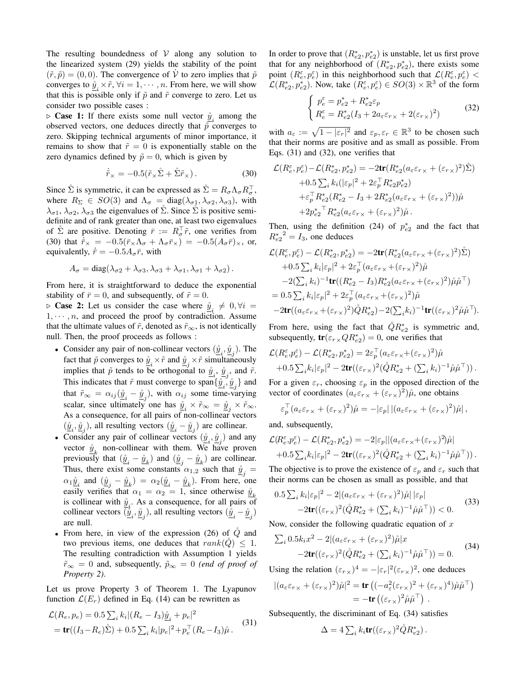The resulting boundedness of  $V$  along any solution to the linearized system (29) yields the stability of the point  $(\tilde{r}, \tilde{p}) = (0, 0)$ . The convergence of  $\dot{V}$  to zero implies that  $\tilde{p}$ converges to  $\underline{\hat{y}}_i \times \tilde{r}$ ,  $\forall i = 1, \dots, n$ . From here, we will show that this is possible only if  $\tilde{p}$  and  $\tilde{r}$  converge to zero. Let us consider two possible cases :

 $\triangleright$  **Case 1:** If there exists some null vector  $\hat{y}_i$  among the observed vectors, one deduces directly that  $\tilde{p}$  converges to zero. Skipping technical arguments of minor importance, it remains to show that  $\tilde{r} = 0$  is exponentially stable on the zero dynamics defined by  $\tilde{p} = 0$ , which is given by

$$
\dot{\tilde{r}}_{\times} = -0.5(\tilde{r}_{\times}\mathring{\Sigma} + \mathring{\Sigma}\tilde{r}_{\times}).
$$
\n(30)

Since  $\mathring{\Sigma}$  is symmetric, it can be expressed as  $\mathring{\Sigma} = R_{\sigma} \Lambda_{\sigma} R_{\sigma}^{\top}$ , where  $R_{\Sigma} \in SO(3)$  and  $\Lambda_{\sigma} = \text{diag}(\lambda_{\sigma 1}, \lambda_{\sigma 2}, \lambda_{\sigma 3})$ , with  $\lambda_{\sigma1}, \lambda_{\sigma2}, \lambda_{\sigma3}$  the eigenvalues of  $\Sigma$ . Since  $\Sigma$  is positive semidefinite and of rank greater than one, at least two eigenvalues of  $\Sigma$  are positive. Denoting  $\bar{r} := R_{\sigma}^{\top} \tilde{r}$ , one verifies from (30) that  $\dot{\bar{r}}_{\times} = -0.5(\bar{r}_{\times}\Lambda_{\sigma} + \Lambda_{\sigma}\bar{r}_{\times}) = -0.5(A_{\sigma}\bar{r})_{\times}$ , or, equivalently,  $\dot{\bar{r}} = -0.5A_{\sigma}\bar{r}$ , with

$$
A_{\sigma} = \text{diag}(\lambda_{\sigma 2} + \lambda_{\sigma 3}, \lambda_{\sigma 3} + \lambda_{\sigma 1}, \lambda_{\sigma 1} + \lambda_{\sigma 2}).
$$

From here, it is straightforward to deduce the exponential stability of  $\bar{r}=0$ , and subsequently, of  $\tilde{r}=0$ .

 $\triangleright$  **Case 2:** Let us consider the case where  $\hat{y}_i \neq 0, \forall i =$  $1, \dots, n$ , and proceed the proof by contradiction. Assume that the ultimate values of  $\tilde{r}$ , denoted as  $\tilde{r}_{\infty}$ , is not identically null. Then, the proof proceeds as follows :

- Consider any pair of non-collinear vectors  $(\underline{\hat{y}}_i, \underline{\hat{y}}_j)$ . The fact that  $\tilde{p}$  converges to  $\mathring{y}_i \times \tilde{r}$  and  $\mathring{y}_i \times \tilde{r}$  simultaneously implies that  $\tilde{p}$  tends to be orthogonal to  $\underline{\tilde{y}}_i$ ,  $\underline{\tilde{y}}_j$ , and  $\tilde{r}$ . This indicates that  $\tilde{r}$  must converge to span $\{\underline{\hat{y}}_i, \underline{\hat{y}}_j\}$  and that  $\tilde{r}_{\infty} = \alpha_{ij} (\underline{\tilde{y}}_i - \underline{\tilde{y}}_j)$ , with  $\alpha_{ij}$  some time-varying scalar, since ultimately one has  $\underline{\hat{y}}_i \times \tilde{r}_{\infty} = \underline{\hat{y}}_j \times \tilde{r}_{\infty}$ . As a consequence, for all pairs of non-collinear vectors  $(\underline{\hat{y}}_i, \underline{\hat{y}}_j)$ , all resulting vectors  $(\underline{\hat{y}}_i - \underline{\hat{y}}_j)$  are collinear.
- Consider any pair of collinear vectors  $(\underline{\hat{y}}_i, \underline{\hat{y}}_j)$  and any vector  $\hat{y}_k$  non-collinear with them. We have proven previously that  $(\underline{\hat{y}}_i - \underline{\hat{y}}_k)$  and  $(\underline{\hat{y}}_j - \underline{\hat{y}}_k)$  are collinear. Thus, there exist some constants  $\alpha_{1,2}$  such that  $\underline{\hat{y}}_j =$  $\alpha_1 \underline{\hat{y}}_i$  and  $(\underline{\hat{y}}_j - \underline{\hat{y}}_k) = \alpha_2 (\underline{\hat{y}}_i - \underline{\hat{y}}_k)$ . From here, one easily verifies that  $\alpha_1 = \alpha_2 = 1$ , since otherwise  $\hat{y}_k$ is collinear with  $\hat{y}_i$ . As a consequence, for all pairs of is connected with  $\frac{\vec{y}_i}{\vec{y}_i}$ . As a consequence, for an pairs of collinear vectors  $(\underline{\hat{y}}_i - \underline{\hat{y}}_j)$ are null.
- From here, in view of the expression  $(26)$  of  $\dot{Q}$  and two previous items, one deduces that  $rank(Q) \leq 1$ . The resulting contradiction with Assumption 1 yields  $\tilde{r}_{\infty} = 0$  and, subsequently,  $\tilde{p}_{\infty} = 0$  *(end of proof of Property 2)*.

Let us prove Property 3 of Theorem 1. The Lyapunov function  $\mathcal{L}(E_r)$  defined in Eq. (14) can be rewritten as

$$
\mathcal{L}(R_e, p_e) = 0.5 \sum_i k_i |(R_e - I_3)\hat{\underline{y}}_i + p_e|^2 \n= tr((I_3 - R_e)\hat{\Sigma}) + 0.5 \sum_i k_i |p_e|^2 + p_e^{\top} (R_e - I_3)\hat{\mu}.
$$
\n(31)

In order to prove that  $(R_{e2}^*, p_{e2}^*)$  is unstable, let us first prove that for any neighborhood of  $(R_{e2}^*, p_{e2}^*)$ , there exists some point  $(R_e^{\varepsilon}, p_e^{\varepsilon})$  in this neighborhood such that  $\mathcal{L}(R_e^{\varepsilon}, p_e^{\varepsilon})$  $\mathcal{L}(R_{e2}^*, p_{e2}^*)$ . Now, take  $(R_e^{\varepsilon}, p_e^{\varepsilon}) \in SO(3) \times \mathbb{R}^3$  of the form

$$
\begin{cases} p_e^{\varepsilon} = p_{e2}^* + R_{e2}^* \varepsilon_p \\ R_e^{\varepsilon} = R_{e2}^*(I_3 + 2a_{\varepsilon} \varepsilon_{r \times} + 2(\varepsilon_{r \times})^2) \end{cases} \tag{32}
$$

with  $a_{\varepsilon} := \sqrt{1 - |\varepsilon_r|^2}$  and  $\varepsilon_p, \varepsilon_r \in \mathbb{R}^3$  to be chosen such that their norms are positive and as small as possible. From Eqs. (31) and (32), one verifies that

$$
\mathcal{L}(R_e^{\varepsilon}, p_e^{\varepsilon}) - \mathcal{L}(R_{e2}^*, p_{e2}^*) = -2\text{tr}(R_{e2}^*(a_{\varepsilon}\varepsilon_{r\times} + (\varepsilon_{r\times})^2)\tilde{\Sigma})
$$
  
+0.5  $\sum_i k_i(|\varepsilon_p|^2 + 2\varepsilon_p^{\top} R_{e2}^* p_{e2}^*)$   
+ $\varepsilon_p^{\top} R_{e2}^*(R_{e2}^* - I_3 + 2R_{e2}^*(a_{\varepsilon}\varepsilon_{r\times} + (\varepsilon_{r\times})^2))\tilde{\mu}$   
+ $2p_{e2}^*^{\top} R_{e2}^*(a_{\varepsilon}\varepsilon_{r\times} + (\varepsilon_{r\times})^2)\tilde{\mu}$ .

Then, using the definition (24) of  $p_{e2}^*$  and the fact that  $R_{e2}^*^2 = I_3$ , one deduces

$$
\mathcal{L}(R_e^{\varepsilon}, p_e^{\varepsilon}) - \mathcal{L}(R_{e2}^*, p_{e2}^*) = -2\text{tr}(R_{e2}^*(a_{\varepsilon}\varepsilon_{r\times} + (\varepsilon_{r\times})^2)\mathring{\Sigma}) \n+0.5\sum_i k_i|\varepsilon_p|^2 + 2\varepsilon_p^{\top}(a_{\varepsilon}\varepsilon_{r\times} + (\varepsilon_{r\times})^2)\mathring{\mu} \n-2(\sum_i k_i)^{-1}\text{tr}((R_{e2}^* - I_3)R_{e2}^*(a_{\varepsilon}\varepsilon_{r\times} + (\varepsilon_{r\times})^2)\mathring{\mu}\mathring{\mu}^{\top}) \n= 0.5\sum_i k_i|\varepsilon_p|^2 + 2\varepsilon_p^{\top}(a_{\varepsilon}\varepsilon_{r\times} + (\varepsilon_{r\times})^2)\mathring{\mu} \n-2\text{tr}((a_{\varepsilon}\varepsilon_{r\times} + (\varepsilon_{r\times})^2)\mathring{Q}R_{e2}^*) - 2(\sum_i k_i)^{-1}\text{tr}((\varepsilon_{r\times})^2\mathring{\mu}\mathring{\mu}^{\top}).
$$

From here, using the fact that  $\mathring{Q}R_{e2}^*$  is symmetric and, subsequently,  $tr(\varepsilon_{r} \times QR_{e2}^*) = 0$ , one verifies that

$$
\mathcal{L}(R_e^{\varepsilon}, p_e^{\varepsilon}) - \mathcal{L}(R_{e2}^*, p_{e2}^*) = 2\varepsilon_p^{\top} (a_{\varepsilon}\varepsilon_{r\times} + (\varepsilon_{r\times})^2)\mathring{\mu}
$$
  
+0.5  $\sum_i k_i |\varepsilon_p|^2 - 2\text{tr}((\varepsilon_{r\times})^2(\mathring{Q}R_{e2}^* + (\sum_i k_i)^{-1}\mathring{\mu}\mathring{\mu}^{\top}))$ .

For a given  $\varepsilon_r$ , choosing  $\varepsilon_p$  in the opposed direction of the vector of coordinates  $(a_{\varepsilon} \varepsilon_{r \times} + (\varepsilon_{r \times})^2) \mathring{\mu}$ , one obtains

$$
\varepsilon_p^{\top} (a_\varepsilon \varepsilon_{r \times} + (\varepsilon_{r \times})^2) \mathring{\mu} = -|\varepsilon_p| |(a_\varepsilon \varepsilon_{r \times} + (\varepsilon_{r \times})^2) \mathring{\mu}|,
$$

and, subsequently,

$$
\mathcal{L}(R_e^{\varepsilon}, p_e^{\varepsilon}) - \mathcal{L}(R_{e2}^*, p_{e2}^*) = -2|\varepsilon_p||(a_{\varepsilon}\varepsilon_{r\times} + (\varepsilon_{r\times})^2)\mathring{\mu}|
$$
  
+0.5  $\sum_i k_i |\varepsilon_p|^2 - 2\text{tr}((\varepsilon_{r\times})^2(\mathring{Q}R_{e2}^* + (\sum_i k_i)^{-1}\mathring{\mu}\mathring{\mu}^{\top}))$ .

The objective is to prove the existence of  $\varepsilon_p$  and  $\varepsilon_r$  such that their norms can be chosen as small as possible, and that

$$
0.5\sum_{i} k_{i}|\varepsilon_{p}|^{2} - 2|(a_{\varepsilon}\varepsilon_{r_{x}} + (\varepsilon_{r_{x}})^{2})\mathring{\mu}||\varepsilon_{p}|
$$
  
-2 $\text{tr}((\varepsilon_{r_{x}})^{2}(\mathring{Q}R_{e2}^{*} + (\sum_{i} k_{i})^{-1}\mathring{\mu}\mathring{\mu}^{\top})) < 0.$  (33)

Now, consider the following quadratic equation of  $x$ 

$$
\sum_{i} 0.5k_i x^2 - 2|(a_{\varepsilon} \varepsilon_{r \times} + (\varepsilon_{r \times})^2)\mathring{\mu}|x
$$
  
-2tr $((\varepsilon_{r \times})^2(\mathring{Q}R_{e2}^* + (\sum_i k_i)^{-1}\mathring{\mu}\mathring{\mu}^{\top})) = 0.$  (34)

Using the relation  $(\varepsilon_{r}^{\text{max}})^4 = -|\varepsilon_r|^2 (\varepsilon_{r}^{\text{max}})^2$ , one deduces

$$
\begin{split} |(a_{\varepsilon}\varepsilon_{r\times}+(\varepsilon_{r\times})^2)\mathring{\mu}|^2 &= \text{tr}\left((-a_{\varepsilon}^2(\varepsilon_{r\times})^2+(\varepsilon_{r\times})^4)\mathring{\mu}\mathring{\mu}^\top\right) \\ &= -\text{tr}\left((\varepsilon_{r\times})^2\mathring{\mu}\mathring{\mu}^\top\right)\,. \end{split}
$$

Subsequently, the discriminant of Eq. (34) satisfies

$$
\Delta = 4 \sum_{i} k_i \text{tr}((\varepsilon_{r} \times)^2 \mathring{Q} R_{e2}^*).
$$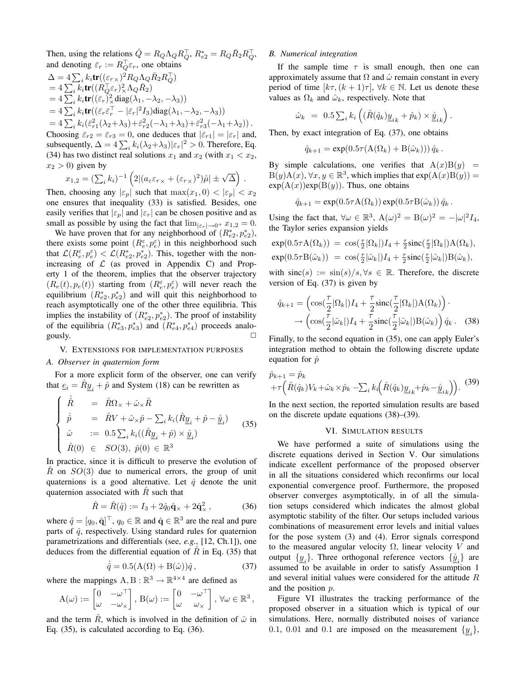Then, using the relations  $\dot{Q} = R_Q \Lambda_Q R_Q^{\top}, R_{e2}^* = R_Q \bar{R}_2 R_Q^{\top},$ and denoting  $\bar{\varepsilon}_r := R_Q^{\top} \varepsilon_r$ , one obtains  $\Delta = 4\sum_i k_i \text{tr}((\varepsilon_{r\times})^2 R_Q \Lambda_Q \bar{R}_2 R_Q^\top)$  $=4\sum_{i}k_{i}\mathrm{tr}((R_{Q}^{\top}\varepsilon_{r})_{\times}^{2}\Lambda_{Q}\bar{R}_{2})$  $=4\sum_{i}k_{i}\mathbf{tr}((\bar{\varepsilon}_{r})_{\times}^{2}\mathrm{diag}(\lambda_{1},-\lambda_{2},-\lambda_{3}))$  $=4\sum_{i}k_{i}\text{tr}((\bar{\varepsilon}_{r}\bar{\varepsilon}_{r}^{\top}-|\bar{\varepsilon}_{r}|^{2}I_{3})\text{diag}(\lambda_{1},-\lambda_{2},-\lambda_{3}))$ =  $4\sum_{i} k_i (\bar{\varepsilon}_{r1}^2(\lambda_2+\lambda_3)+\bar{\varepsilon}_{r2}^2(-\lambda_1+\lambda_3)+\bar{\varepsilon}_{r3}^2(-\lambda_1+\lambda_2)).$ Choosing  $\bar{\varepsilon}_{r2} = \bar{\varepsilon}_{r3} = 0$ , one deduces that  $|\bar{\varepsilon}_{r1}| = |\varepsilon_r|$  and,

subsequently,  $\Delta = 4 \sum_i k_i (\lambda_2 + \lambda_3) |\varepsilon_r|^2 > 0$ . Therefore, Eq. (34) has two distinct real solutions  $x_1$  and  $x_2$  (with  $x_1 < x_2$ ,  $x_2 > 0$ ) given by

$$
x_{1,2} = (\sum_i k_i)^{-1} \left( 2 |(a_{\varepsilon} \varepsilon_{r \times} + (\varepsilon_{r \times})^2) \mathring{\mu}| \pm \sqrt{\Delta} \right).
$$

Then, choosing any  $|\varepsilon_p|$  such that  $\max(x_1, 0) < |\varepsilon_p| < x_2$ one ensures that inequality (33) is satisfied. Besides, one easily verifies that  $|\varepsilon_p|$  and  $|\varepsilon_r|$  can be chosen positive and as small as possible by using the fact that  $\lim_{|\varepsilon_r|\to 0^+} x_{1,2} = 0$ .

We have proven that for any neighborhood of  $(R_{e2}^*, p_{e2}^*),$ there exists some point  $(R_e^{\varepsilon}, p_e^{\varepsilon})$  in this neighborhood such that  $\mathcal{L}(R_e^{\varepsilon}, p_e^{\varepsilon}) < \mathcal{L}(R_{e2}^*, p_{e2}^*)$ . This, together with the nonincreasing of  $\mathcal L$  (as proved in Appendix C) and Property 1 of the theorem, implies that the observer trajectory  $(R_e(t), p_e(t))$  starting from  $(R_e^{\varepsilon}, p_e^{\varepsilon})$  will never reach the equilibrium  $(R_{e2}^*, p_{e2}^*)$  and will quit this neighborhood to reach asymptotically one of the other three equilibria. This implies the instability of  $(R_{e2}^*, p_{e2}^*)$ . The proof of instability of the equilibria  $(R_{e3}^*, p_{e3}^*)$  and  $(R_{e4}^*, p_{e4}^*)$  proceeds analogously.  $\Box$ 

# V. EXTENSIONS FOR IMPLEMENTATION PURPOSES

#### *A. Observer in quaternion form*

For a more explicit form of the observer, one can verify that  $\underline{e}_i = \hat{R}\underline{y}_i + \hat{p}$  and System (18) can be rewritten as

$$
\begin{cases}\n\dot{\hat{R}} = \hat{R}\Omega_{\times} + \hat{\omega}_{\times}\hat{R} \\
\dot{\hat{p}} = \hat{R}V + \hat{\omega}_{\times}\hat{p} - \sum_{i} k_{i}(\hat{R}\underline{y}_{i} + \hat{p} - \underline{\mathring{y}}_{i}) \\
\hat{\omega} := 0.5\sum_{i} k_{i}((\hat{R}\underline{y}_{i} + \hat{p}) \times \underline{\mathring{y}}_{i}) \\
\hat{R}(0) \in SO(3), \ \hat{p}(0) \in \mathbb{R}^{3}\n\end{cases}
$$
\n(35)

In practice, since it is difficult to preserve the evolution of R on  $SO(3)$  due to numerical errors, the group of unit quaternions is a good alternative. Let  $\hat{q}$  denote the unit quaternion associated with  $R$  such that

$$
\hat{R} = \hat{R}(\hat{q}) := I_3 + 2\hat{q}_0 \hat{q}_\times + 2\hat{q}_\times^2, \qquad (36)
$$

where  $\hat{q} = [q_0, \hat{\mathbf{q}}]^\top$ ,  $q_0 \in \mathbb{R}$  and  $\hat{\mathbf{q}} \in \mathbb{R}^3$  are the real and pure parts of  $\hat{q}$ , respectively. Using standard rules for quaternion parametrizations and differentials (see, *e.g.*, [12, Ch.1]), one deduces from the differential equation of  $\overline{R}$  in Eq. (35) that

$$
\dot{\hat{q}} = 0.5(\mathbf{A}(\Omega) + \mathbf{B}(\hat{\omega}))\hat{q},\tag{37}
$$

where the mappings  $A, B : \mathbb{R}^3 \to \mathbb{R}^{4 \times 4}$  are defined as

$$
A(\omega) := \begin{bmatrix} 0 & -\omega^{\top} \\ \omega & -\omega_{\times} \end{bmatrix}, B(\omega) := \begin{bmatrix} 0 & -\omega^{\top} \\ \omega & \omega_{\times} \end{bmatrix}, \forall \omega \in \mathbb{R}^{3},
$$

and the term  $\hat{R}$ , which is involved in the definition of  $\hat{\omega}$  in Eq. (35), is calculated according to Eq. (36).

#### *B. Numerical integration*

If the sample time  $\tau$  is small enough, then one can approximately assume that  $\Omega$  and  $\hat{\omega}$  remain constant in every period of time  $[k\tau,(k+1)\tau]$ ,  $\forall k \in \mathbb{N}$ . Let us denote these values as  $\Omega_k$  and  $\hat{\omega}_k$ , respectively. Note that

$$
\hat{\omega}_k \ = \ 0.5 \sum_i k_i \left( (\hat{R}(\hat{q}_k) \underline{y}_{i k} + \hat{p}_k) \times \underline{\hat{y}}_{i k} \right).
$$

Then, by exact integration of Eq. (37), one obtains

$$
\hat{q}_{k+1} = \exp(0.5\tau(\mathbf{A}(\Omega_k) + \mathbf{B}(\hat{\omega}_k))) \hat{q}_k.
$$

By simple calculations, one verifies that  $A(x)B(y)$  =  $B(y)A(x), \forall x, y \in \mathbb{R}^3$ , which implies that  $\exp(A(x)B(y)) =$  $exp(A(x))exp(B(y))$ . Thus, one obtains

$$
\hat{q}_{k+1} = \exp(0.5\tau A(\Omega_k)) \exp(0.5\tau B(\hat{\omega}_k)) \hat{q}_k.
$$

Using the fact that,  $\forall \omega \in \mathbb{R}^3$ ,  $A(\omega)^2 = B(\omega)^2 = -|\omega|^2 I_4$ , the Taylor series expansion yields

$$
\exp(0.5\tau A(\Omega_k)) = \cos(\frac{\tau}{2}|\Omega_k|)I_4 + \frac{\tau}{2}\text{sinc}(\frac{\tau}{2}|\Omega_k|)A(\Omega_k),
$$
  
\n
$$
\exp(0.5\tau B(\hat{\omega}_k)) = \cos(\frac{\tau}{2}|\hat{\omega}_k|)I_4 + \frac{\tau}{2}\text{sinc}(\frac{\tau}{2}|\hat{\omega}_k|)B(\hat{\omega}_k),
$$

with  $sinc(s) := sin(s)/s, \forall s \in \mathbb{R}$ . Therefore, the discrete version of Eq. (37) is given by

$$
\hat{q}_{k+1} = \left( \cos\left(\frac{\tau}{2}|\Omega_k|\right)I_4 + \frac{\tau}{2}\operatorname{sinc}\left(\frac{\tau}{2}|\Omega_k|\right)A(\Omega_k) \right) \cdot \\ \to \left( \cos\left(\frac{\tau}{2}|\hat{\omega}_k|\right)I_4 + \frac{\tau}{2}\operatorname{sinc}\left(\frac{\tau}{2}|\hat{\omega}_k|\right)B(\hat{\omega}_k) \right) \hat{q}_k. \quad (38)
$$

Finally, to the second equation in (35), one can apply Euler's integration method to obtain the following discrete update equation for  $\hat{p}$ 

$$
\hat{p}_{k+1} = \hat{p}_k \n+ \tau \left( \hat{R}(\hat{q}_k) V_k + \hat{\omega}_k \times \hat{p}_k - \sum_i k_i \left( \hat{R}(\hat{q}_k) \underline{y}_{ik} + \hat{p}_k - \underline{\hat{y}}_{ik} \right) \right).
$$
\n(39)

In the next section, the reported simulation results are based on the discrete update equations (38)–(39).

#### VI. SIMULATION RESULTS

We have performed a suite of simulations using the discrete equations derived in Section V. Our simulations indicate excellent performance of the proposed observer in all the situations considered which reconfirms our local exponential convergence proof. Furthermore, the proposed observer converges asymptotically, in of all the simulation setups considered which indicates the almost global asymptotic stability of the filter. Our setups included various combinations of measurement error levels and initial values for the pose system (3) and (4). Error signals correspond to the measured angular velocity  $\Omega$ , linear velocity V and output  $\{\underline{y}_i\}$ . Three orthogonal reference vectors  $\{\underline{\mathring{y}}_i\}$  are assumed to be available in order to satisfy Assumption 1 and several initial values were considered for the attitude R and the position p.

Figure VI illustrates the tracking performance of the proposed observer in a situation which is typical of our simulations. Here, normally distributed noises of variance 0.1, 0.01 and 0.1 are imposed on the measurement  $\{\underline{y}_i\}$ ,